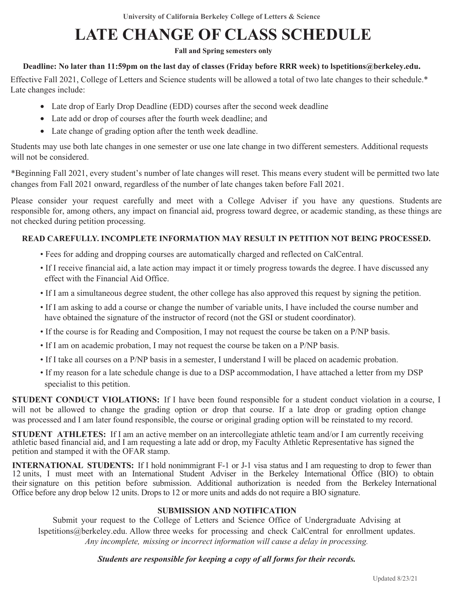# **LATE CHANGE OF CLASS SCHEDULE**

**Fall and Spring semesters only**

#### **Deadline: No later than 11:59pm on the last day of classes (Friday before RRR week) to lspetitions@berkeley.edu.**

Effective Fall 2021, College of Letters and Science students will be allowed a total of two late changes to their schedule.\* Late changes include:

- Late drop of Early Drop Deadline (EDD) courses after the second week deadline
- Late add or drop of courses after the fourth week deadline; and
- Late change of grading option after the tenth week deadline.

Students may use both late changes in one semester or use one late change in two different semesters. Additional requests will not be considered.

\*Beginning Fall 2021, every student's number of late changes will reset. This means every student will be permitted two late changes from Fall 2021 onward, regardless of the number of late changes taken before Fall 2021.

Please consider your request carefully and meet with a College Adviser if you have any questions. Students are responsible for, among others, any impact on financial aid, progress toward degree, or academic standing, as these things are not checked during petition processing.

### **READ CAREFULLY. INCOMPLETE INFORMATION MAY RESULT IN PETITION NOT BEING PROCESSED.**

- Fees for adding and dropping courses are automatically charged and reflected on CalCentral.
- If I receive financial aid, a late action may impact it or timely progress towards the degree. I have discussed any effect with the Financial Aid Office.
- If I am a simultaneous degree student, the other college has also approved this request by signing the petition.
- If I am asking to add a course or change the number of variable units, I have included the course number and have obtained the signature of the instructor of record (not the GSI or student coordinator).
- If the course is for Reading and Composition, I may not request the course be taken on a P/NP basis.
- If I am on academic probation, I may not request the course be taken on a P/NP basis.
- If I take all courses on a P/NP basis in a semester, I understand I will be placed on academic probation.
- If my reason for a late schedule change is due to a DSP accommodation, I have attached a letter from my DSP specialist to this petition.

**STUDENT CONDUCT VIOLATIONS:** If I have been found responsible for a student conduct violation in a course, I will not be allowed to change the grading option or drop that course. If a late drop or grading option change was processed and I am later found responsible, the course or original grading option will be reinstated to my record.

**STUDENT ATHLETES:** If I am an active member on an intercollegiate athletic team and/or I am currently receiving athletic based financial aid, and I am requesting a late add or drop, my Faculty Athletic Representative has signed the petition and stamped it with the OFAR stamp.

**INTERNATIONAL STUDENTS:** If I hold nonimmigrant F-1 or J-1 visa status and I am requesting to drop to fewer than 12 units, I must meet with an International Student Adviser in the Berkeley International Office (BIO) to obtain their signature on this petition before submission. Additional authorization is needed from the Berkeley International Office before any drop below 12 units. Drops to 12 or more units and adds do not require a BIO signature.

#### **SUBMISSION AND NOTIFICATION**

Submit your request to the College of Letters and Science Office of Undergraduate Advising at lspetitions@berkeley.edu. Allow three weeks for processing and check CalCentral for enrollment updates. *Any incomplete, missing or incorrect information will cause a delay in processing.* 

#### *Students are responsible for keeping a copy of all forms for their records.*